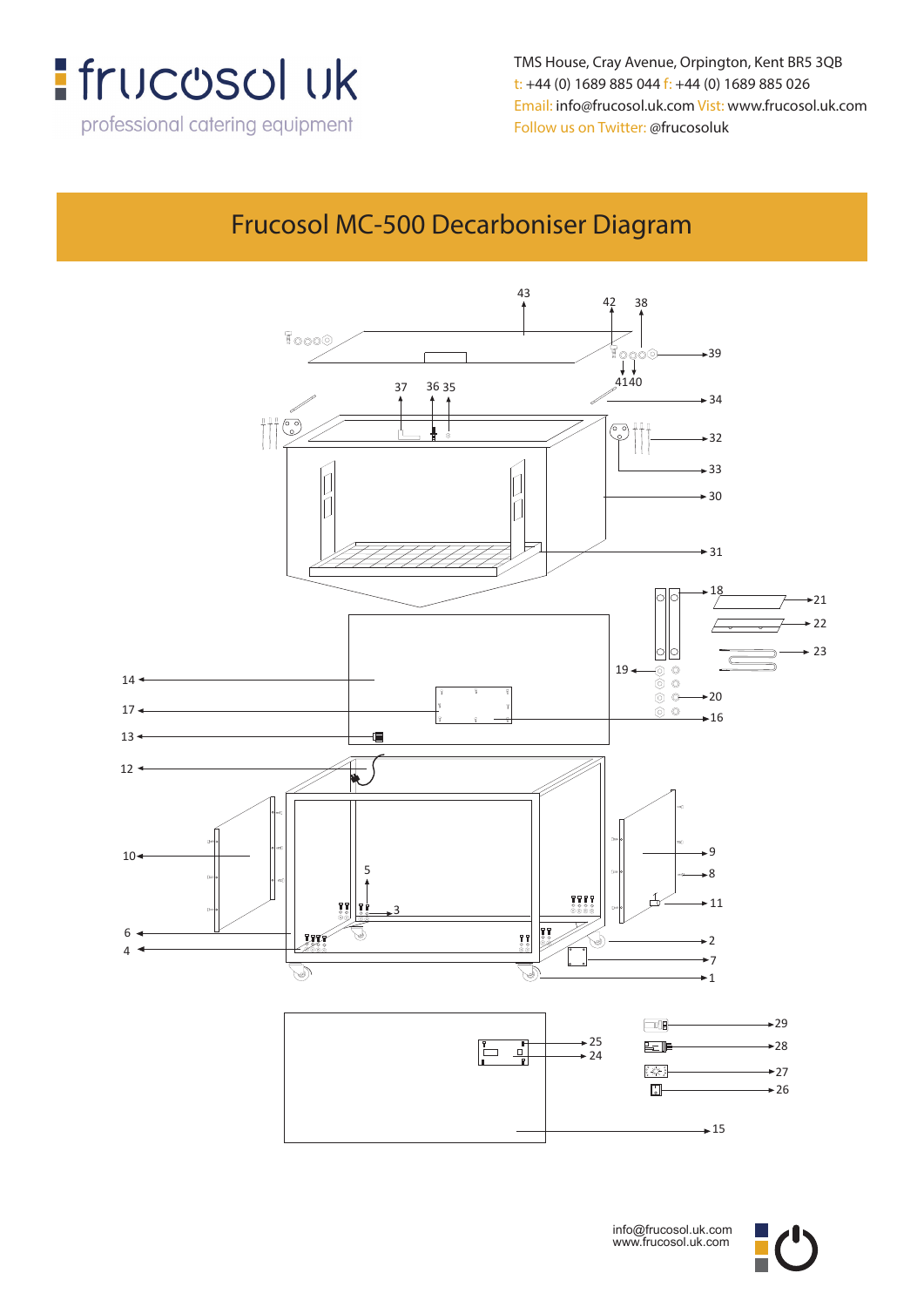

TMS House, Cray Avenue, Orpington, Kent BR5 3QB **Email: info@frucosol.uk.com Vist: www.frucosol.uk.com** t: +44 (0) 1689 885 044 f: +44 (0) 1689 885 026 **Follow us on Twitter: @frucosoluk** Email: info@frucosol.uk.com Vist: www.frucosol.uk.com Follow us on Twitter: @frucosoluk

## Frucosol MC-500 Decarboniser Diagram



![](_page_0_Picture_4.jpeg)

![](_page_0_Picture_5.jpeg)